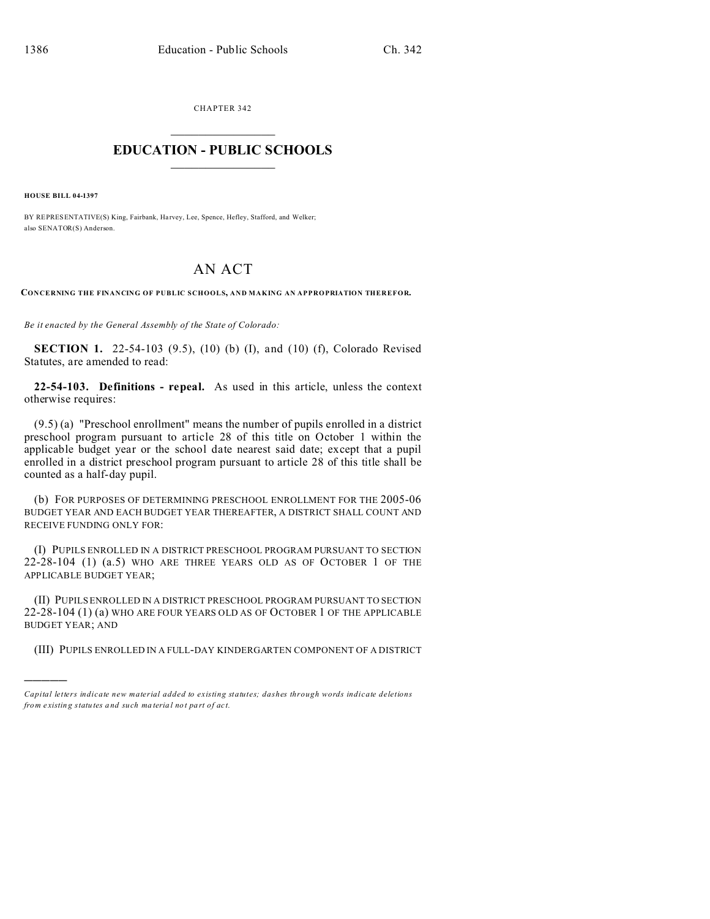CHAPTER 342  $\overline{\phantom{a}}$  , where  $\overline{\phantom{a}}$ 

## **EDUCATION - PUBLIC SCHOOLS**  $\_$   $\_$   $\_$   $\_$   $\_$   $\_$   $\_$   $\_$   $\_$

**HOUSE BILL 04-1397**

)))))

BY REPRESENTATIVE(S) King, Fairbank, Harvey, Lee, Spence, Hefley, Stafford, and Welker; also SENATOR(S) Anderson.

## AN ACT

**CONCERNING THE FINANCING OF PUBLIC SCHOOLS, AND MAKING AN APPROPRIATION THEREFOR.**

*Be it enacted by the General Assembly of the State of Colorado:*

**SECTION 1.** 22-54-103 (9.5), (10) (b) (I), and (10) (f), Colorado Revised Statutes, are amended to read:

**22-54-103. Definitions - repeal.** As used in this article, unless the context otherwise requires:

(9.5) (a) "Preschool enrollment" means the number of pupils enrolled in a district preschool program pursuant to article 28 of this title on October 1 within the applicable budget year or the school date nearest said date; except that a pupil enrolled in a district preschool program pursuant to article 28 of this title shall be counted as a half-day pupil.

(b) FOR PURPOSES OF DETERMINING PRESCHOOL ENROLLMENT FOR THE 2005-06 BUDGET YEAR AND EACH BUDGET YEAR THEREAFTER, A DISTRICT SHALL COUNT AND RECEIVE FUNDING ONLY FOR:

(I) PUPILS ENROLLED IN A DISTRICT PRESCHOOL PROGRAM PURSUANT TO SECTION 22-28-104 (1) (a.5) WHO ARE THREE YEARS OLD AS OF OCTOBER 1 OF THE APPLICABLE BUDGET YEAR;

(II) PUPILS ENROLLED IN A DISTRICT PRESCHOOL PROGRAM PURSUANT TO SECTION 22-28-104 (1) (a) WHO ARE FOUR YEARS OLD AS OF OCTOBER 1 OF THE APPLICABLE BUDGET YEAR; AND

(III) PUPILS ENROLLED IN A FULL-DAY KINDERGARTEN COMPONENT OF A DISTRICT

*Capital letters indicate new material added to existing statutes; dashes through words indicate deletions from e xistin g statu tes a nd such ma teria l no t pa rt of ac t.*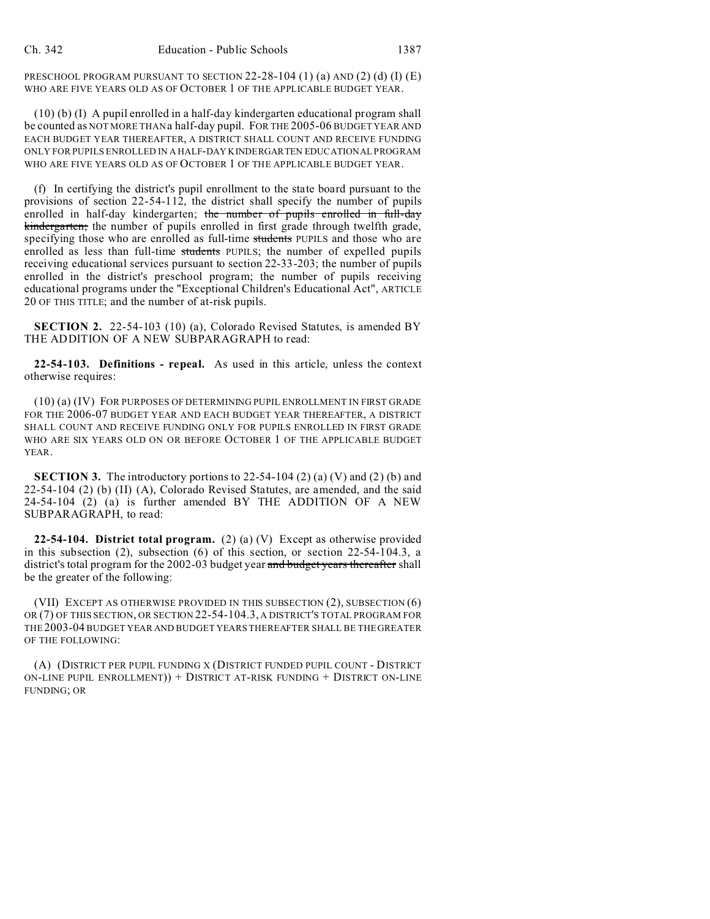PRESCHOOL PROGRAM PURSUANT TO SECTION  $22-28-104$  (1) (a) AND (2) (d) (I) (E) WHO ARE FIVE YEARS OLD AS OF OCTOBER 1 OF THE APPLICABLE BUDGET YEAR.

(10) (b) (I) A pupil enrolled in a half-day kindergarten educational program shall be counted as NOT MORE THAN a half-day pupil. FOR THE 2005-06 BUDGET YEAR AND EACH BUDGET YEAR THEREAFTER, A DISTRICT SHALL COUNT AND RECEIVE FUNDING ONLY FOR PUPILS ENROLLED IN A HALF-DAY KINDERGARTEN EDUCATIONAL PROGRAM WHO ARE FIVE YEARS OLD AS OF OCTOBER 1 OF THE APPLICABLE BUDGET YEAR.

(f) In certifying the district's pupil enrollment to the state board pursuant to the provisions of section 22-54-112, the district shall specify the number of pupils enrolled in half-day kindergarten; the number of pupils enrolled in full-day kindergarten; the number of pupils enrolled in first grade through twelfth grade, specifying those who are enrolled as full-time students PUPILS and those who are enrolled as less than full-time students PUPILS; the number of expelled pupils receiving educational services pursuant to section 22-33-203; the number of pupils enrolled in the district's preschool program; the number of pupils receiving educational programs under the "Exceptional Children's Educational Act", ARTICLE 20 OF THIS TITLE; and the number of at-risk pupils.

**SECTION 2.** 22-54-103 (10) (a), Colorado Revised Statutes, is amended BY THE ADDITION OF A NEW SUBPARAGRAPH to read:

**22-54-103. Definitions - repeal.** As used in this article, unless the context otherwise requires:

(10) (a) (IV) FOR PURPOSES OF DETERMINING PUPIL ENROLLMENT IN FIRST GRADE FOR THE 2006-07 BUDGET YEAR AND EACH BUDGET YEAR THEREAFTER, A DISTRICT SHALL COUNT AND RECEIVE FUNDING ONLY FOR PUPILS ENROLLED IN FIRST GRADE WHO ARE SIX YEARS OLD ON OR BEFORE OCTOBER 1 OF THE APPLICABLE BUDGET YEAR.

**SECTION 3.** The introductory portions to  $22-54-104(2)(a)(V)$  and  $(2)(b)$  and 22-54-104 (2) (b) (II) (A), Colorado Revised Statutes, are amended, and the said 24-54-104 (2) (a) is further amended BY THE ADDITION OF A NEW SUBPARAGRAPH, to read:

**22-54-104. District total program.** (2) (a) (V) Except as otherwise provided in this subsection  $(2)$ , subsection  $(6)$  of this section, or section  $22-54-104.3$ , a district's total program for the 2002-03 budget year and budget years thereafter shall be the greater of the following:

(VII) EXCEPT AS OTHERWISE PROVIDED IN THIS SUBSECTION (2), SUBSECTION (6) OR (7) OF THIS SECTION, OR SECTION 22-54-104.3, A DISTRICT'S TOTAL PROGRAM FOR THE 2003-04 BUDGET YEAR AND BUDGET YEARS THEREAFTER SHALL BE THE GREATER OF THE FOLLOWING:

(A) (DISTRICT PER PUPIL FUNDING X (DISTRICT FUNDED PUPIL COUNT - DISTRICT ON-LINE PUPIL ENROLLMENT)) + DISTRICT AT-RISK FUNDING + DISTRICT ON-LINE FUNDING; OR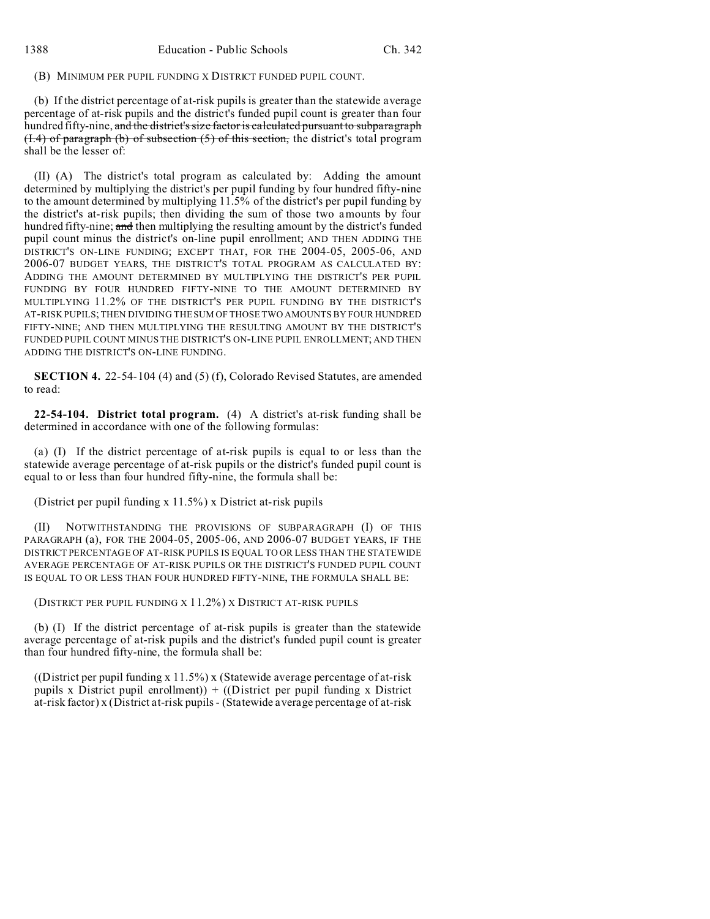## (B) MINIMUM PER PUPIL FUNDING X DISTRICT FUNDED PUPIL COUNT.

(b) If the district percentage of at-risk pupils is greater than the statewide average percentage of at-risk pupils and the district's funded pupil count is greater than four hundred fifty-nine, and the district's size factor is calculated pursuant to subparagraph  $(1.4)$  of paragraph (b) of subsection  $(5)$  of this section, the district's total program shall be the lesser of:

(II) (A) The district's total program as calculated by: Adding the amount determined by multiplying the district's per pupil funding by four hundred fifty-nine to the amount determined by multiplying 11.5% of the district's per pupil funding by the district's at-risk pupils; then dividing the sum of those two amounts by four hundred fifty-nine; and then multiplying the resulting amount by the district's funded pupil count minus the district's on-line pupil enrollment; AND THEN ADDING THE DISTRICT'S ON-LINE FUNDING; EXCEPT THAT, FOR THE 2004-05, 2005-06, AND 2006-07 BUDGET YEARS, THE DISTRICT'S TOTAL PROGRAM AS CALCULATED BY: ADDING THE AMOUNT DETERMINED BY MULTIPLYING THE DISTRICT'S PER PUPIL FUNDING BY FOUR HUNDRED FIFTY-NINE TO THE AMOUNT DETERMINED BY MULTIPLYING 11.2% OF THE DISTRICT'S PER PUPIL FUNDING BY THE DISTRICT'S AT-RISK PUPILS; THEN DIVIDING THE SUM OF THOSE TWO AMOUNTS BY FOUR HUNDRED FIFTY-NINE; AND THEN MULTIPLYING THE RESULTING AMOUNT BY THE DISTRICT'S FUNDED PUPIL COUNT MINUS THE DISTRICT'S ON-LINE PUPIL ENROLLMENT; AND THEN ADDING THE DISTRICT'S ON-LINE FUNDING.

**SECTION 4.** 22-54-104 (4) and (5) (f), Colorado Revised Statutes, are amended to read:

**22-54-104. District total program.** (4) A district's at-risk funding shall be determined in accordance with one of the following formulas:

(a) (I) If the district percentage of at-risk pupils is equal to or less than the statewide average percentage of at-risk pupils or the district's funded pupil count is equal to or less than four hundred fifty-nine, the formula shall be:

(District per pupil funding x 11.5%) x District at-risk pupils

(II) NOTWITHSTANDING THE PROVISIONS OF SUBPARAGRAPH (I) OF THIS PARAGRAPH (a), FOR THE 2004-05, 2005-06, AND 2006-07 BUDGET YEARS, IF THE DISTRICT PERCENTAGE OF AT-RISK PUPILS IS EQUAL TO OR LESS THAN THE STATEWIDE AVERAGE PERCENTAGE OF AT-RISK PUPILS OR THE DISTRICT'S FUNDED PUPIL COUNT IS EQUAL TO OR LESS THAN FOUR HUNDRED FIFTY-NINE, THE FORMULA SHALL BE:

(DISTRICT PER PUPIL FUNDING X 11.2%) X DISTRICT AT-RISK PUPILS

(b) (I) If the district percentage of at-risk pupils is greater than the statewide average percentage of at-risk pupils and the district's funded pupil count is greater than four hundred fifty-nine, the formula shall be:

((District per pupil funding x 11.5%) x (Statewide average percentage of at-risk pupils x District pupil enrollment)) +  $((Distric)$  per pupil funding x District at-risk factor) x (District at-risk pupils - (Statewide average percentage of at-risk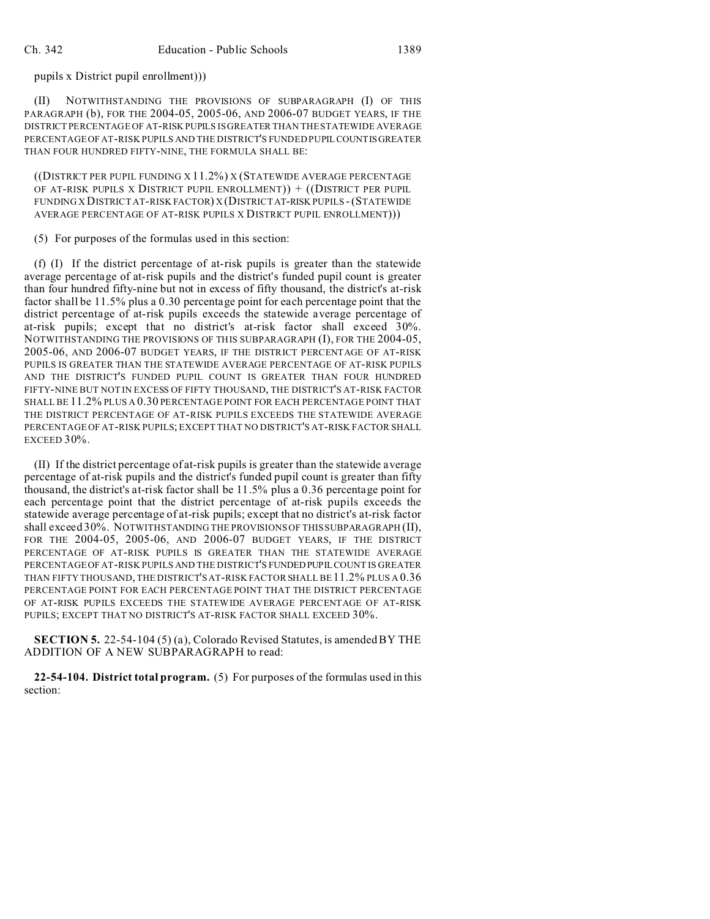pupils x District pupil enrollment)))

(II) NOTWITHSTANDING THE PROVISIONS OF SUBPARAGRAPH (I) OF THIS PARAGRAPH (b), FOR THE 2004-05, 2005-06, AND 2006-07 BUDGET YEARS, IF THE DISTRICT PERCENTAGE OF AT-RISKPUPILS IS GREATER THAN THE STATEWIDE AVERAGE PERCENTAGE OF AT-RISK PUPILS AND THE DISTRICT'S FUNDED PUPILCOUNTISGREATER THAN FOUR HUNDRED FIFTY-NINE, THE FORMULA SHALL BE:

((DISTRICT PER PUPIL FUNDING X 11.2%) X (STATEWIDE AVERAGE PERCENTAGE OF AT-RISK PUPILS X DISTRICT PUPIL ENROLLMENT)) + ((DISTRICT PER PUPIL FUNDING X DISTRICT AT-RISK FACTOR) X (DISTRICTAT-RISK PUPILS -(STATEWIDE AVERAGE PERCENTAGE OF AT-RISK PUPILS X DISTRICT PUPIL ENROLLMENT)))

(5) For purposes of the formulas used in this section:

(f) (I) If the district percentage of at-risk pupils is greater than the statewide average percentage of at-risk pupils and the district's funded pupil count is greater than four hundred fifty-nine but not in excess of fifty thousand, the district's at-risk factor shall be 11.5% plus a 0.30 percentage point for each percentage point that the district percentage of at-risk pupils exceeds the statewide average percentage of at-risk pupils; except that no district's at-risk factor shall exceed 30%. NOTWITHSTANDING THE PROVISIONS OF THIS SUBPARAGRAPH (I), FOR THE 2004-05, 2005-06, AND 2006-07 BUDGET YEARS, IF THE DISTRICT PERCENTAGE OF AT-RISK PUPILS IS GREATER THAN THE STATEWIDE AVERAGE PERCENTAGE OF AT-RISK PUPILS AND THE DISTRICT'S FUNDED PUPIL COUNT IS GREATER THAN FOUR HUNDRED FIFTY-NINE BUT NOT IN EXCESS OF FIFTY THOUSAND, THE DISTRICT'S AT-RISK FACTOR SHALL BE 11.2% PLUS A 0.30 PERCENTAGE POINT FOR EACH PERCENTAGE POINT THAT THE DISTRICT PERCENTAGE OF AT-RISK PUPILS EXCEEDS THE STATEWIDE AVERAGE PERCENTAGE OF AT-RISK PUPILS; EXCEPT THAT NO DISTRICT'S AT-RISK FACTOR SHALL EXCEED 30%.

(II) If the district percentage of at-risk pupils is greater than the statewide average percentage of at-risk pupils and the district's funded pupil count is greater than fifty thousand, the district's at-risk factor shall be 11.5% plus a 0.36 percentage point for each percentage point that the district percentage of at-risk pupils exceeds the statewide average percentage of at-risk pupils; except that no district's at-risk factor shall exceed 30%. NOTWITHSTANDING THE PROVISIONS OF THIS SUBPARAGRAPH (II), FOR THE 2004-05, 2005-06, AND 2006-07 BUDGET YEARS, IF THE DISTRICT PERCENTAGE OF AT-RISK PUPILS IS GREATER THAN THE STATEWIDE AVERAGE PERCENTAGE OF AT-RISK PUPILS AND THE DISTRICT'S FUNDEDPUPILCOUNT IS GREATER THAN FIFTY THOUSAND, THE DISTRICT'S AT-RISK FACTOR SHALL BE11.2% PLUS A 0.36 PERCENTAGE POINT FOR EACH PERCENTAGE POINT THAT THE DISTRICT PERCENTAGE OF AT-RISK PUPILS EXCEEDS THE STATEWIDE AVERAGE PERCENTAGE OF AT-RISK PUPILS; EXCEPT THAT NO DISTRICT'S AT-RISK FACTOR SHALL EXCEED 30%.

**SECTION 5.** 22-54-104 (5) (a), Colorado Revised Statutes, is amended BY THE ADDITION OF A NEW SUBPARAGRAPH to read:

**22-54-104. District total program.** (5) For purposes of the formulas used in this section: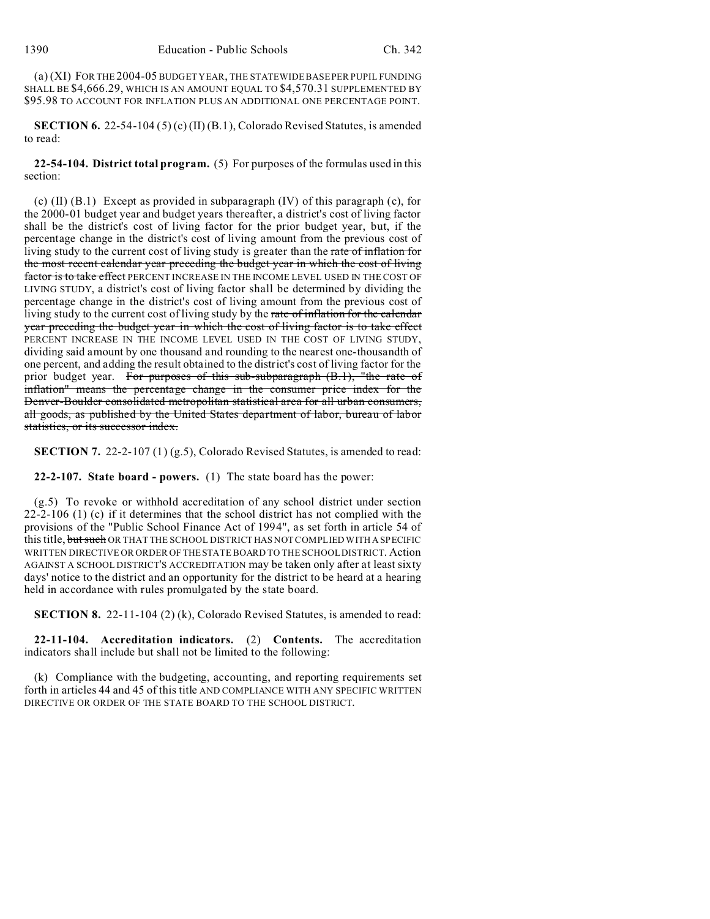(a) (XI) FOR THE 2004-05 BUDGET YEAR, THE STATEWIDE BASE PER PUPIL FUNDING SHALL BE \$4,666.29, WHICH IS AN AMOUNT EQUAL TO \$4,570.31 SUPPLEMENTED BY \$95.98 TO ACCOUNT FOR INFLATION PLUS AN ADDITIONAL ONE PERCENTAGE POINT.

**SECTION 6.** 22-54-104 (5) (c) (II) (B.1), Colorado Revised Statutes, is amended to read:

**22-54-104. District total program.** (5) For purposes of the formulas used in this section:

(c)  $(II)$   $(B.1)$  Except as provided in subparagraph  $(IV)$  of this paragraph  $(c)$ , for the 2000-01 budget year and budget years thereafter, a district's cost of living factor shall be the district's cost of living factor for the prior budget year, but, if the percentage change in the district's cost of living amount from the previous cost of living study to the current cost of living study is greater than the rate of inflation for the most recent calendar year preceding the budget year in which the cost of living factor is to take effect PERCENT INCREASE IN THE INCOME LEVEL USED IN THE COST OF LIVING STUDY, a district's cost of living factor shall be determined by dividing the percentage change in the district's cost of living amount from the previous cost of living study to the current cost of living study by the rate of inflation for the calendar year preceding the budget year in which the cost of living factor is to take effect PERCENT INCREASE IN THE INCOME LEVEL USED IN THE COST OF LIVING STUDY, dividing said amount by one thousand and rounding to the nearest one-thousandth of one percent, and adding the result obtained to the district's cost of living factor for the prior budget year. For purposes of this sub-subparagraph  $(B.1)$ , "the rate of inflation" means the percentage change in the consumer price index for the Denver-Boulder consolidated metropolitan statistical area for all urban consumers, all goods, as published by the United States department of labor, bureau of labor statistics, or its successor index.

**SECTION 7.** 22-2-107 (1) (g.5), Colorado Revised Statutes, is amended to read:

**22-2-107. State board - powers.** (1) The state board has the power:

(g.5) To revoke or withhold accreditation of any school district under section 22-2-106 (1) (c) if it determines that the school district has not complied with the provisions of the "Public School Finance Act of 1994", as set forth in article 54 of this title, but such OR THAT THE SCHOOL DISTRICT HAS NOT COMPLIED WITH A SPECIFIC WRITTEN DIRECTIVE OR ORDER OF THESTATE BOARD TO THE SCHOOL DISTRICT. Action AGAINST A SCHOOL DISTRICT'S ACCREDITATION may be taken only after at least sixty days' notice to the district and an opportunity for the district to be heard at a hearing held in accordance with rules promulgated by the state board.

**SECTION 8.** 22-11-104 (2) (k), Colorado Revised Statutes, is amended to read:

**22-11-104. Accreditation indicators.** (2) **Contents.** The accreditation indicators shall include but shall not be limited to the following:

(k) Compliance with the budgeting, accounting, and reporting requirements set forth in articles 44 and 45 of this title AND COMPLIANCE WITH ANY SPECIFIC WRITTEN DIRECTIVE OR ORDER OF THE STATE BOARD TO THE SCHOOL DISTRICT.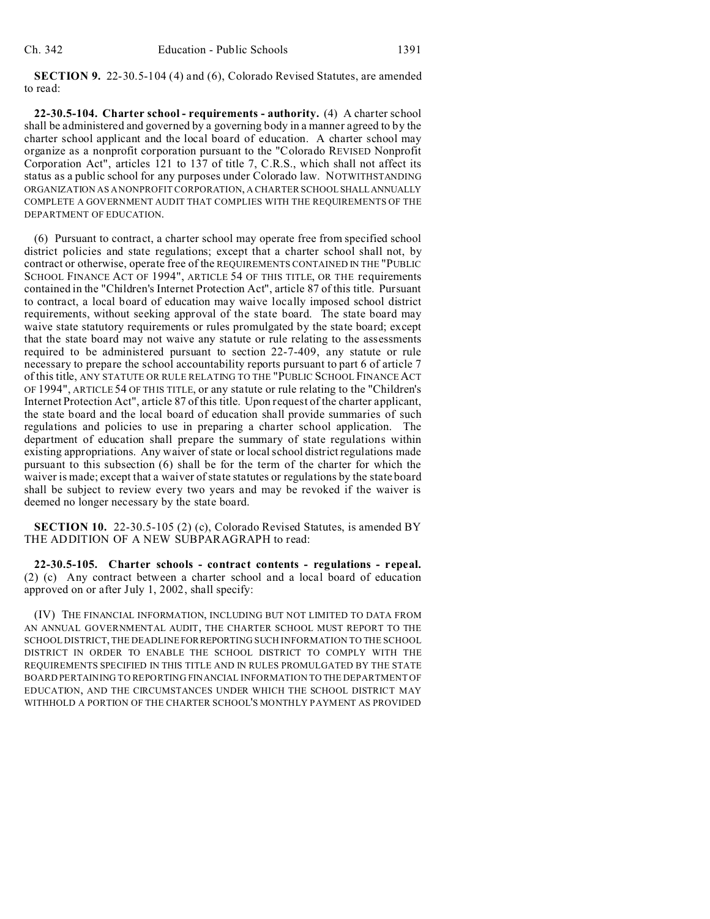**SECTION 9.** 22-30.5-104 (4) and (6), Colorado Revised Statutes, are amended to read:

**22-30.5-104. Charter school - requirements - authority.** (4) A charter school shall be administered and governed by a governing body in a manner agreed to by the charter school applicant and the local board of education. A charter school may organize as a nonprofit corporation pursuant to the "Colorado REVISED Nonprofit Corporation Act", articles 121 to 137 of title 7, C.R.S., which shall not affect its status as a public school for any purposes under Colorado law. NOTWITHSTANDING ORGANIZATION AS A NONPROFIT CORPORATION, A CHARTER SCHOOL SHALLANNUALLY COMPLETE A GOVERNMENT AUDIT THAT COMPLIES WITH THE REQUIREMENTS OF THE DEPARTMENT OF EDUCATION.

(6) Pursuant to contract, a charter school may operate free from specified school district policies and state regulations; except that a charter school shall not, by contract or otherwise, operate free of the REQUIREMENTS CONTAINED IN THE "PUBLIC SCHOOL FINANCE ACT OF 1994", ARTICLE 54 OF THIS TITLE, OR THE requirements contained in the "Children's Internet Protection Act", article 87 of this title. Pursuant to contract, a local board of education may waive locally imposed school district requirements, without seeking approval of the state board. The state board may waive state statutory requirements or rules promulgated by the state board; except that the state board may not waive any statute or rule relating to the assessments required to be administered pursuant to section 22-7-409, any statute or rule necessary to prepare the school accountability reports pursuant to part 6 of article 7 of this title, ANY STATUTE OR RULE RELATING TO THE "PUBLIC SCHOOL FINANCE ACT OF 1994", ARTICLE 54 OF THIS TITLE, or any statute or rule relating to the "Children's Internet Protection Act", article 87 of this title. Upon request of the charter applicant, the state board and the local board of education shall provide summaries of such regulations and policies to use in preparing a charter school application. The department of education shall prepare the summary of state regulations within existing appropriations. Any waiver of state or local school district regulations made pursuant to this subsection (6) shall be for the term of the charter for which the waiver is made; except that a waiver of state statutes or regulations by the state board shall be subject to review every two years and may be revoked if the waiver is deemed no longer necessary by the state board.

**SECTION 10.** 22-30.5-105 (2) (c), Colorado Revised Statutes, is amended BY THE ADDITION OF A NEW SUBPARAGRAPH to read:

**22-30.5-105. Charter schools - contract contents - regulations - repeal.** (2) (c) Any contract between a charter school and a local board of education approved on or after July 1, 2002, shall specify:

(IV) THE FINANCIAL INFORMATION, INCLUDING BUT NOT LIMITED TO DATA FROM AN ANNUAL GOVERNMENTAL AUDIT, THE CHARTER SCHOOL MUST REPORT TO THE SCHOOL DISTRICT, THE DEADLINE FORREPORTING SUCH INFORMATION TO THE SCHOOL DISTRICT IN ORDER TO ENABLE THE SCHOOL DISTRICT TO COMPLY WITH THE REQUIREMENTS SPECIFIED IN THIS TITLE AND IN RULES PROMULGATED BY THE STATE BOARD PERTAINING TO REPORTING FINANCIAL INFORMATION TO THE DEPARTMENT OF EDUCATION, AND THE CIRCUMSTANCES UNDER WHICH THE SCHOOL DISTRICT MAY WITHHOLD A PORTION OF THE CHARTER SCHOOL'S MONTHLY PAYMENT AS PROVIDED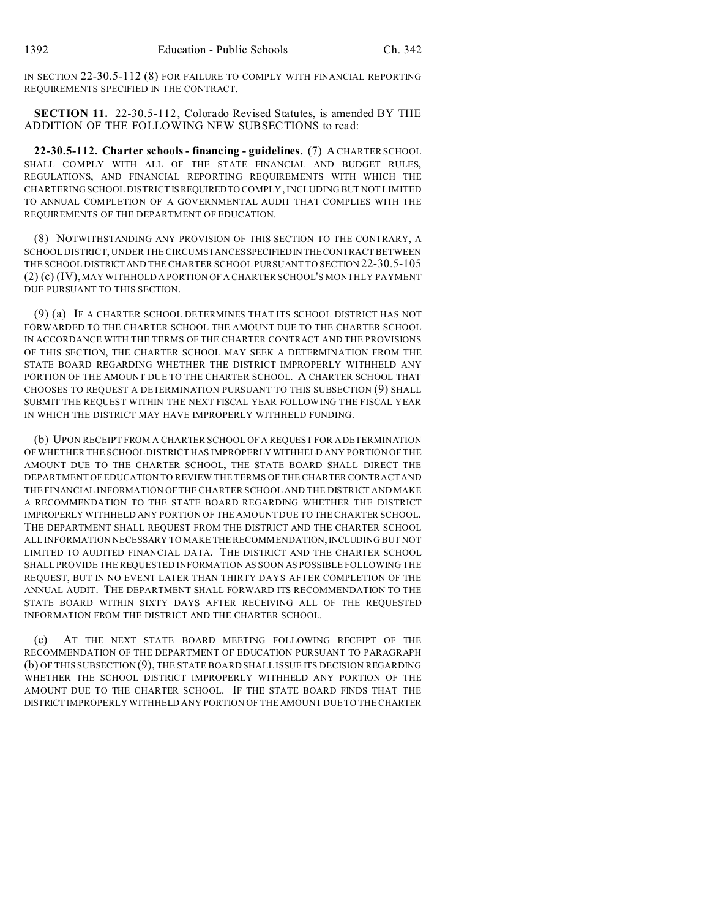IN SECTION 22-30.5-112 (8) FOR FAILURE TO COMPLY WITH FINANCIAL REPORTING REQUIREMENTS SPECIFIED IN THE CONTRACT.

**SECTION 11.** 22-30.5-112, Colorado Revised Statutes, is amended BY THE ADDITION OF THE FOLLOWING NEW SUBSECTIONS to read:

**22-30.5-112. Charter schools - financing - guidelines.** (7) A CHARTER SCHOOL SHALL COMPLY WITH ALL OF THE STATE FINANCIAL AND BUDGET RULES, REGULATIONS, AND FINANCIAL REPORTING REQUIREMENTS WITH WHICH THE CHARTERING SCHOOL DISTRICT ISREQUIREDTO COMPLY, INCLUDING BUT NOT LIMITED TO ANNUAL COMPLETION OF A GOVERNMENTAL AUDIT THAT COMPLIES WITH THE REQUIREMENTS OF THE DEPARTMENT OF EDUCATION.

(8) NOTWITHSTANDING ANY PROVISION OF THIS SECTION TO THE CONTRARY, A SCHOOL DISTRICT, UNDER THE CIRCUMSTANCES SPECIFIEDIN THECONTRACT BETWEEN THE SCHOOL DISTRICTAND THE CHARTER SCHOOL PURSUANT TO SECTION 22-30.5-105 (2) (c) (IV), MAY WITHHOLD A PORTION OF A CHARTER SCHOOL'S MONTHLY PAYMENT DUE PURSUANT TO THIS SECTION.

(9) (a) IF A CHARTER SCHOOL DETERMINES THAT ITS SCHOOL DISTRICT HAS NOT FORWARDED TO THE CHARTER SCHOOL THE AMOUNT DUE TO THE CHARTER SCHOOL IN ACCORDANCE WITH THE TERMS OF THE CHARTER CONTRACT AND THE PROVISIONS OF THIS SECTION, THE CHARTER SCHOOL MAY SEEK A DETERMINATION FROM THE STATE BOARD REGARDING WHETHER THE DISTRICT IMPROPERLY WITHHELD ANY PORTION OF THE AMOUNT DUE TO THE CHARTER SCHOOL. A CHARTER SCHOOL THAT CHOOSES TO REQUEST A DETERMINATION PURSUANT TO THIS SUBSECTION (9) SHALL SUBMIT THE REQUEST WITHIN THE NEXT FISCAL YEAR FOLLOWING THE FISCAL YEAR IN WHICH THE DISTRICT MAY HAVE IMPROPERLY WITHHELD FUNDING.

(b) UPON RECEIPT FROM A CHARTER SCHOOL OF A REQUEST FOR A DETERMINATION OF WHETHER THE SCHOOL DISTRICT HAS IMPROPERLYWITHHELD ANY PORTION OF THE AMOUNT DUE TO THE CHARTER SCHOOL, THE STATE BOARD SHALL DIRECT THE DEPARTMENT OF EDUCATION TO REVIEW THE TERMS OF THE CHARTER CONTRACT AND THE FINANCIAL INFORMATION OF THE CHARTER SCHOOL AND THE DISTRICT AND MAKE A RECOMMENDATION TO THE STATE BOARD REGARDING WHETHER THE DISTRICT IMPROPERLY WITHHELD ANY PORTION OF THE AMOUNT DUE TO THE CHARTER SCHOOL. THE DEPARTMENT SHALL REQUEST FROM THE DISTRICT AND THE CHARTER SCHOOL ALL INFORMATION NECESSARY TO MAKE THE RECOMMENDATION,INCLUDING BUT NOT LIMITED TO AUDITED FINANCIAL DATA. THE DISTRICT AND THE CHARTER SCHOOL SHALL PROVIDE THE REQUESTED INFORMATION AS SOON AS POSSIBLE FOLLOWING THE REQUEST, BUT IN NO EVENT LATER THAN THIRTY DAYS AFTER COMPLETION OF THE ANNUAL AUDIT. THE DEPARTMENT SHALL FORWARD ITS RECOMMENDATION TO THE STATE BOARD WITHIN SIXTY DAYS AFTER RECEIVING ALL OF THE REQUESTED INFORMATION FROM THE DISTRICT AND THE CHARTER SCHOOL.

(c) AT THE NEXT STATE BOARD MEETING FOLLOWING RECEIPT OF THE RECOMMENDATION OF THE DEPARTMENT OF EDUCATION PURSUANT TO PARAGRAPH (b) OF THIS SUBSECTION (9), THE STATE BOARD SHALL ISSUE ITS DECISION REGARDING WHETHER THE SCHOOL DISTRICT IMPROPERLY WITHHELD ANY PORTION OF THE AMOUNT DUE TO THE CHARTER SCHOOL. IF THE STATE BOARD FINDS THAT THE DISTRICT IMPROPERLY WITHHELD ANY PORTION OF THE AMOUNT DUE TO THE CHARTER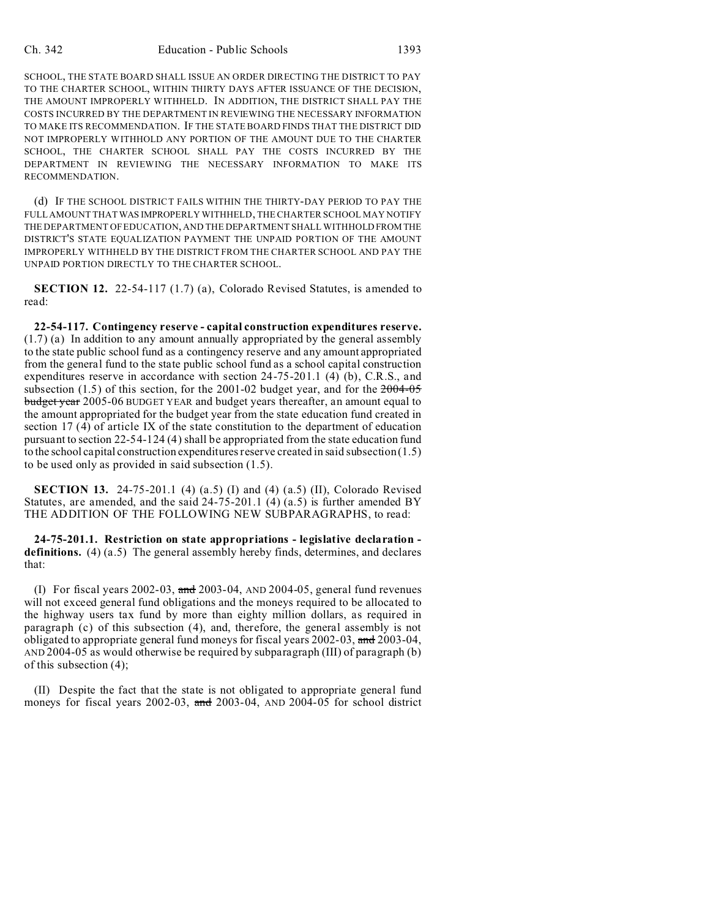SCHOOL, THE STATE BOARD SHALL ISSUE AN ORDER DIRECTING THE DISTRICT TO PAY TO THE CHARTER SCHOOL, WITHIN THIRTY DAYS AFTER ISSUANCE OF THE DECISION, THE AMOUNT IMPROPERLY WITHHELD. IN ADDITION, THE DISTRICT SHALL PAY THE COSTS INCURRED BY THE DEPARTMENT IN REVIEWING THE NECESSARY INFORMATION TO MAKE ITS RECOMMENDATION. IF THE STATE BOARD FINDS THAT THE DISTRICT DID NOT IMPROPERLY WITHHOLD ANY PORTION OF THE AMOUNT DUE TO THE CHARTER SCHOOL, THE CHARTER SCHOOL SHALL PAY THE COSTS INCURRED BY THE DEPARTMENT IN REVIEWING THE NECESSARY INFORMATION TO MAKE ITS RECOMMENDATION.

(d) IF THE SCHOOL DISTRICT FAILS WITHIN THE THIRTY-DAY PERIOD TO PAY THE FULL AMOUNT THAT WAS IMPROPERLY WITHHELD, THE CHARTER SCHOOL MAY NOTIFY THE DEPARTMENT OF EDUCATION, AND THE DEPARTMENT SHALL WITHHOLD FROMTHE DISTRICT'S STATE EQUALIZATION PAYMENT THE UNPAID PORTION OF THE AMOUNT IMPROPERLY WITHHELD BY THE DISTRICT FROM THE CHARTER SCHOOL AND PAY THE UNPAID PORTION DIRECTLY TO THE CHARTER SCHOOL.

**SECTION 12.** 22-54-117 (1.7) (a), Colorado Revised Statutes, is amended to read:

**22-54-117. Contingency reserve - capital construction expenditures reserve.** (1.7) (a) In addition to any amount annually appropriated by the general assembly to the state public school fund as a contingency reserve and any amount appropriated from the general fund to the state public school fund as a school capital construction expenditures reserve in accordance with section 24-75-201.1 (4) (b), C.R.S., and subsection (1.5) of this section, for the 2001-02 budget year, and for the  $2004-05$ budget year 2005-06 BUDGET YEAR and budget years thereafter, an amount equal to the amount appropriated for the budget year from the state education fund created in section 17 (4) of article IX of the state constitution to the department of education pursuant to section 22-54-124 (4) shall be appropriated from the state education fund to the school capital construction expenditures reserve created in said subsection (1.5) to be used only as provided in said subsection (1.5).

**SECTION 13.** 24-75-201.1 (4) (a.5) (I) and (4) (a.5) (II), Colorado Revised Statutes, are amended, and the said  $24-75-201.1$  (4) (a.5) is further amended BY THE ADDITION OF THE FOLLOWING NEW SUBPARAGRAPHS, to read:

**24-75-201.1. Restriction on state appropriations - legislative declaration definitions.** (4) (a.5) The general assembly hereby finds, determines, and declares that:

(I) For fiscal years 2002-03, and 2003-04, AND 2004-05, general fund revenues will not exceed general fund obligations and the moneys required to be allocated to the highway users tax fund by more than eighty million dollars, as required in paragraph (c) of this subsection (4), and, therefore, the general assembly is not obligated to appropriate general fund moneys for fiscal years 2002-03, and 2003-04, AND 2004-05 as would otherwise be required by subparagraph (III) of paragraph (b) of this subsection (4);

(II) Despite the fact that the state is not obligated to appropriate general fund moneys for fiscal years 2002-03, and 2003-04, AND 2004-05 for school district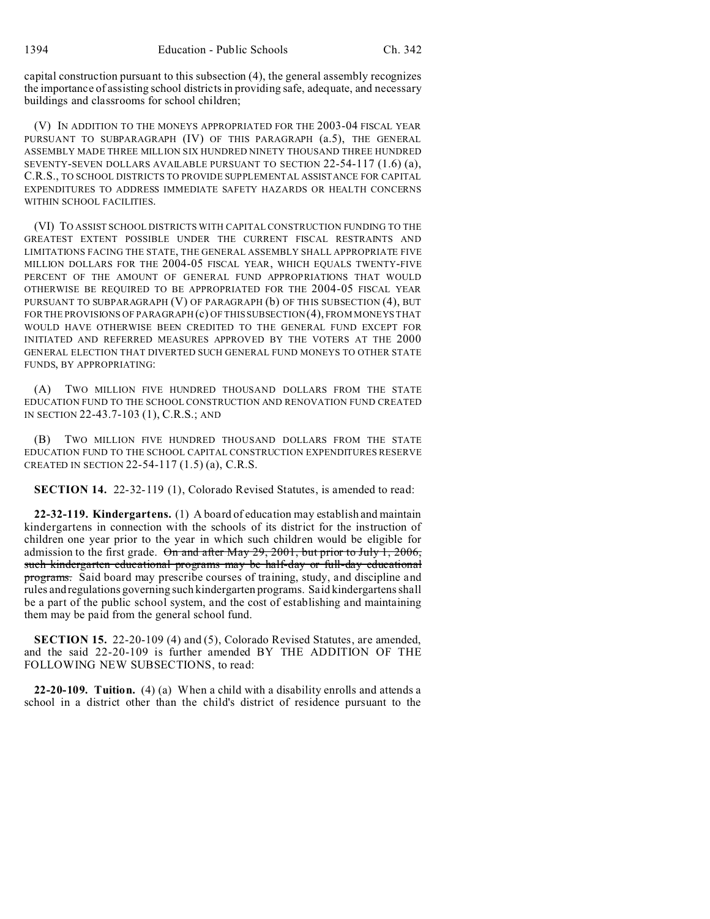capital construction pursuant to this subsection (4), the general assembly recognizes the importance of assisting school districts in providing safe, adequate, and necessary buildings and classrooms for school children;

(V) IN ADDITION TO THE MONEYS APPROPRIATED FOR THE 2003-04 FISCAL YEAR PURSUANT TO SUBPARAGRAPH (IV) OF THIS PARAGRAPH (a.5), THE GENERAL ASSEMBLY MADE THREE MILLION SIX HUNDRED NINETY THOUSAND THREE HUNDRED SEVENTY-SEVEN DOLLARS AVAILABLE PURSUANT TO SECTION 22-54-117 (1.6) (a), C.R.S., TO SCHOOL DISTRICTS TO PROVIDE SUPPLEMENTAL ASSISTANCE FOR CAPITAL EXPENDITURES TO ADDRESS IMMEDIATE SAFETY HAZARDS OR HEALTH CONCERNS WITHIN SCHOOL FACILITIES.

(VI) TO ASSIST SCHOOL DISTRICTS WITH CAPITAL CONSTRUCTION FUNDING TO THE GREATEST EXTENT POSSIBLE UNDER THE CURRENT FISCAL RESTRAINTS AND LIMITATIONS FACING THE STATE, THE GENERAL ASSEMBLY SHALL APPROPRIATE FIVE MILLION DOLLARS FOR THE 2004-05 FISCAL YEAR, WHICH EQUALS TWENTY-FIVE PERCENT OF THE AMOUNT OF GENERAL FUND APPROPRIATIONS THAT WOULD OTHERWISE BE REQUIRED TO BE APPROPRIATED FOR THE 2004-05 FISCAL YEAR PURSUANT TO SUBPARAGRAPH (V) OF PARAGRAPH (b) OF THIS SUBSECTION (4), BUT FOR THE PROVISIONS OF PARAGRAPH (c) OF THIS SUBSECTION (4), FROM MONEYS THAT WOULD HAVE OTHERWISE BEEN CREDITED TO THE GENERAL FUND EXCEPT FOR INITIATED AND REFERRED MEASURES APPROVED BY THE VOTERS AT THE 2000 GENERAL ELECTION THAT DIVERTED SUCH GENERAL FUND MONEYS TO OTHER STATE FUNDS, BY APPROPRIATING:

(A) TWO MILLION FIVE HUNDRED THOUSAND DOLLARS FROM THE STATE EDUCATION FUND TO THE SCHOOL CONSTRUCTION AND RENOVATION FUND CREATED IN SECTION 22-43.7-103 (1), C.R.S.; AND

(B) TWO MILLION FIVE HUNDRED THOUSAND DOLLARS FROM THE STATE EDUCATION FUND TO THE SCHOOL CAPITAL CONSTRUCTION EXPENDITURES RESERVE CREATED IN SECTION 22-54-117 (1.5) (a), C.R.S.

**SECTION 14.** 22-32-119 (1), Colorado Revised Statutes, is amended to read:

**22-32-119. Kindergartens.** (1) A board of education may establish and maintain kindergartens in connection with the schools of its district for the instruction of children one year prior to the year in which such children would be eligible for admission to the first grade. On and after May 29, 2001, but prior to July 1, 2006, such kindergarten educational programs may be half-day or full-day educational programs. Said board may prescribe courses of training, study, and discipline and rules and regulations governing such kindergarten programs. Said kindergartens shall be a part of the public school system, and the cost of establishing and maintaining them may be paid from the general school fund.

**SECTION 15.** 22-20-109 (4) and (5), Colorado Revised Statutes, are amended, and the said 22-20-109 is further amended BY THE ADDITION OF THE FOLLOWING NEW SUBSECTIONS, to read:

**22-20-109. Tuition.** (4) (a) When a child with a disability enrolls and attends a school in a district other than the child's district of residence pursuant to the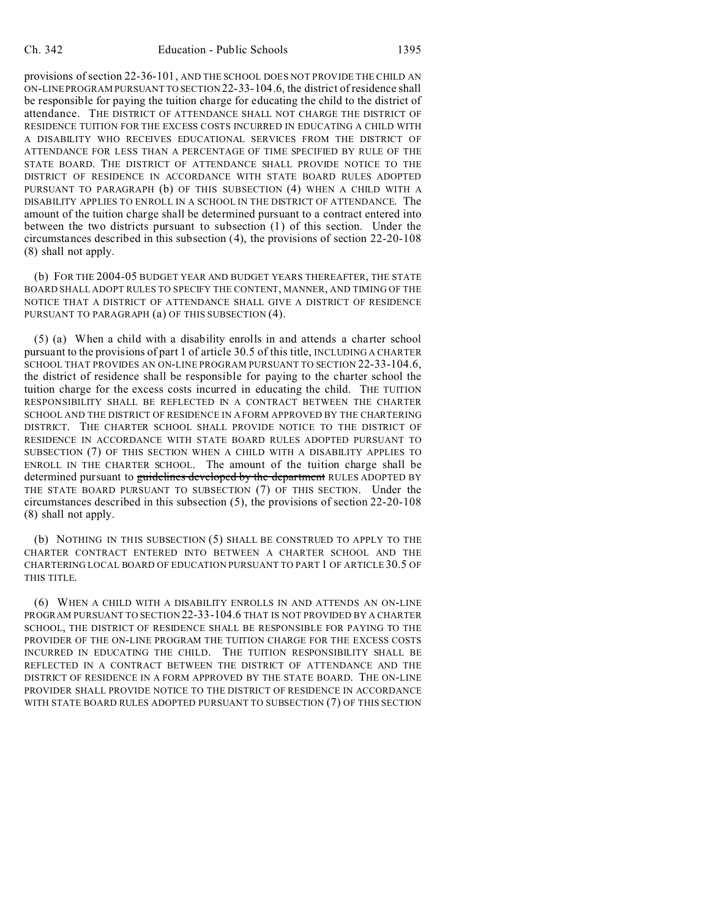provisions of section 22-36-101, AND THE SCHOOL DOES NOT PROVIDE THE CHILD AN ON-LINE PROGRAM PURSUANT TO SECTION 22-33-104.6, the district of residence shall be responsible for paying the tuition charge for educating the child to the district of attendance. THE DISTRICT OF ATTENDANCE SHALL NOT CHARGE THE DISTRICT OF RESIDENCE TUITION FOR THE EXCESS COSTS INCURRED IN EDUCATING A CHILD WITH A DISABILITY WHO RECEIVES EDUCATIONAL SERVICES FROM THE DISTRICT OF ATTENDANCE FOR LESS THAN A PERCENTAGE OF TIME SPECIFIED BY RULE OF THE STATE BOARD. THE DISTRICT OF ATTENDANCE SHALL PROVIDE NOTICE TO THE DISTRICT OF RESIDENCE IN ACCORDANCE WITH STATE BOARD RULES ADOPTED PURSUANT TO PARAGRAPH (b) OF THIS SUBSECTION (4) WHEN A CHILD WITH A DISABILITY APPLIES TO ENROLL IN A SCHOOL IN THE DISTRICT OF ATTENDANCE. The amount of the tuition charge shall be determined pursuant to a contract entered into between the two districts pursuant to subsection (1) of this section. Under the circumstances described in this subsection (4), the provisions of section 22-20-108 (8) shall not apply.

(b) FOR THE 2004-05 BUDGET YEAR AND BUDGET YEARS THEREAFTER, THE STATE BOARD SHALL ADOPT RULES TO SPECIFY THE CONTENT, MANNER, AND TIMING OF THE NOTICE THAT A DISTRICT OF ATTENDANCE SHALL GIVE A DISTRICT OF RESIDENCE PURSUANT TO PARAGRAPH (a) OF THIS SUBSECTION (4).

(5) (a) When a child with a disability enrolls in and attends a charter school pursuant to the provisions of part 1 of article 30.5 of this title, INCLUDING A CHARTER SCHOOL THAT PROVIDES AN ON-LINE PROGRAM PURSUANT TO SECTION 22-33-104.6, the district of residence shall be responsible for paying to the charter school the tuition charge for the excess costs incurred in educating the child. THE TUITION RESPONSIBILITY SHALL BE REFLECTED IN A CONTRACT BETWEEN THE CHARTER SCHOOL AND THE DISTRICT OF RESIDENCE IN A FORM APPROVED BY THE CHARTERING DISTRICT. THE CHARTER SCHOOL SHALL PROVIDE NOTICE TO THE DISTRICT OF RESIDENCE IN ACCORDANCE WITH STATE BOARD RULES ADOPTED PURSUANT TO SUBSECTION (7) OF THIS SECTION WHEN A CHILD WITH A DISABILITY APPLIES TO ENROLL IN THE CHARTER SCHOOL. The amount of the tuition charge shall be determined pursuant to guidelines developed by the department RULES ADOPTED BY THE STATE BOARD PURSUANT TO SUBSECTION (7) OF THIS SECTION. Under the circumstances described in this subsection (5), the provisions of section 22-20-108 (8) shall not apply.

(b) NOTHING IN THIS SUBSECTION (5) SHALL BE CONSTRUED TO APPLY TO THE CHARTER CONTRACT ENTERED INTO BETWEEN A CHARTER SCHOOL AND THE CHARTERING LOCAL BOARD OF EDUCATION PURSUANT TO PART 1 OF ARTICLE 30.5 OF THIS TITLE.

(6) WHEN A CHILD WITH A DISABILITY ENROLLS IN AND ATTENDS AN ON-LINE PROGRAM PURSUANT TO SECTION 22-33-104.6 THAT IS NOT PROVIDED BY A CHARTER SCHOOL, THE DISTRICT OF RESIDENCE SHALL BE RESPONSIBLE FOR PAYING TO THE PROVIDER OF THE ON-LINE PROGRAM THE TUITION CHARGE FOR THE EXCESS COSTS INCURRED IN EDUCATING THE CHILD. THE TUITION RESPONSIBILITY SHALL BE REFLECTED IN A CONTRACT BETWEEN THE DISTRICT OF ATTENDANCE AND THE DISTRICT OF RESIDENCE IN A FORM APPROVED BY THE STATE BOARD. THE ON-LINE PROVIDER SHALL PROVIDE NOTICE TO THE DISTRICT OF RESIDENCE IN ACCORDANCE WITH STATE BOARD RULES ADOPTED PURSUANT TO SUBSECTION (7) OF THIS SECTION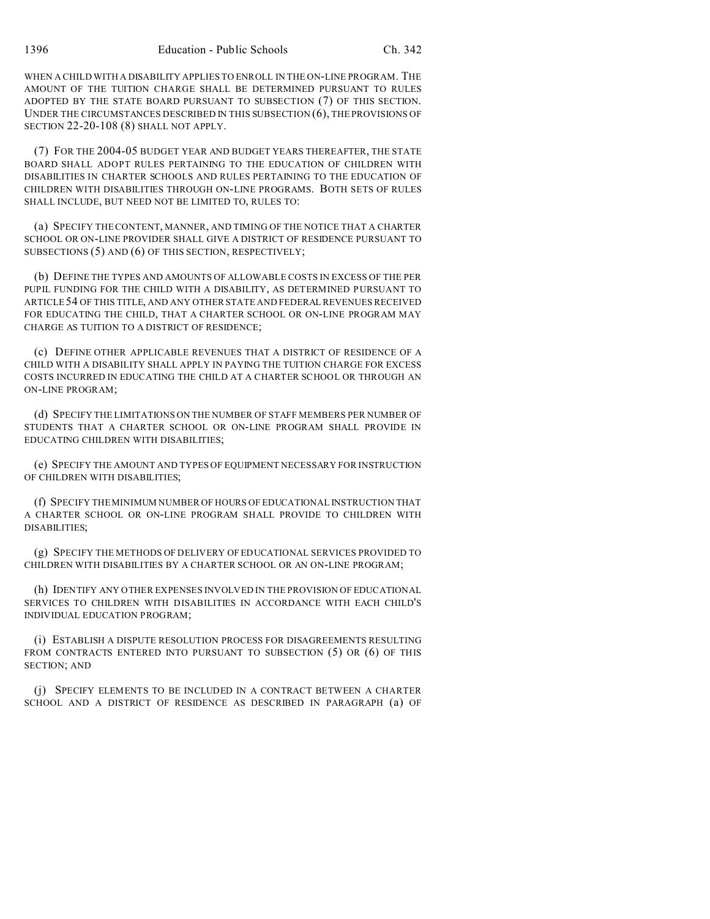WHEN A CHILD WITH A DISABILITY APPLIES TO ENROLL IN THE ON-LINE PROGRAM. THE AMOUNT OF THE TUITION CHARGE SHALL BE DETERMINED PURSUANT TO RULES ADOPTED BY THE STATE BOARD PURSUANT TO SUBSECTION (7) OF THIS SECTION. UNDER THE CIRCUMSTANCES DESCRIBED IN THIS SUBSECTION (6), THE PROVISIONS OF SECTION 22-20-108 (8) SHALL NOT APPLY.

(7) FOR THE 2004-05 BUDGET YEAR AND BUDGET YEARS THEREAFTER, THE STATE BOARD SHALL ADOPT RULES PERTAINING TO THE EDUCATION OF CHILDREN WITH DISABILITIES IN CHARTER SCHOOLS AND RULES PERTAINING TO THE EDUCATION OF CHILDREN WITH DISABILITIES THROUGH ON-LINE PROGRAMS. BOTH SETS OF RULES SHALL INCLUDE, BUT NEED NOT BE LIMITED TO, RULES TO:

(a) SPECIFY THE CONTENT, MANNER, AND TIMING OF THE NOTICE THAT A CHARTER SCHOOL OR ON-LINE PROVIDER SHALL GIVE A DISTRICT OF RESIDENCE PURSUANT TO SUBSECTIONS (5) AND (6) OF THIS SECTION, RESPECTIVELY;

(b) DEFINE THE TYPES AND AMOUNTS OF ALLOWABLE COSTS IN EXCESS OF THE PER PUPIL FUNDING FOR THE CHILD WITH A DISABILITY, AS DETERMINED PURSUANT TO ARTICLE 54 OF THIS TITLE, AND ANY OTHER STATE AND FEDERAL REVENUES RECEIVED FOR EDUCATING THE CHILD, THAT A CHARTER SCHOOL OR ON-LINE PROGRAM MAY CHARGE AS TUITION TO A DISTRICT OF RESIDENCE;

(c) DEFINE OTHER APPLICABLE REVENUES THAT A DISTRICT OF RESIDENCE OF A CHILD WITH A DISABILITY SHALL APPLY IN PAYING THE TUITION CHARGE FOR EXCESS COSTS INCURRED IN EDUCATING THE CHILD AT A CHARTER SCHOOL OR THROUGH AN ON-LINE PROGRAM;

(d) SPECIFY THE LIMITATIONS ON THE NUMBER OF STAFF MEMBERS PER NUMBER OF STUDENTS THAT A CHARTER SCHOOL OR ON-LINE PROGRAM SHALL PROVIDE IN EDUCATING CHILDREN WITH DISABILITIES;

(e) SPECIFY THE AMOUNT AND TYPES OF EQUIPMENT NECESSARY FOR INSTRUCTION OF CHILDREN WITH DISABILITIES;

(f) SPECIFY THE MINIMUM NUMBER OF HOURS OF EDUCATIONAL INSTRUCTION THAT A CHARTER SCHOOL OR ON-LINE PROGRAM SHALL PROVIDE TO CHILDREN WITH DISABILITIES;

(g) SPECIFY THE METHODS OF DELIVERY OF EDUCATIONAL SERVICES PROVIDED TO CHILDREN WITH DISABILITIES BY A CHARTER SCHOOL OR AN ON-LINE PROGRAM;

(h) IDENTIFY ANY OTHER EXPENSES INVOLVED IN THE PROVISION OF EDUCATIONAL SERVICES TO CHILDREN WITH DISABILITIES IN ACCORDANCE WITH EACH CHILD'S INDIVIDUAL EDUCATION PROGRAM;

(i) ESTABLISH A DISPUTE RESOLUTION PROCESS FOR DISAGREEMENTS RESULTING FROM CONTRACTS ENTERED INTO PURSUANT TO SUBSECTION (5) OR (6) OF THIS SECTION; AND

(j) SPECIFY ELEMENTS TO BE INCLUDED IN A CONTRACT BETWEEN A CHARTER SCHOOL AND A DISTRICT OF RESIDENCE AS DESCRIBED IN PARAGRAPH (a) OF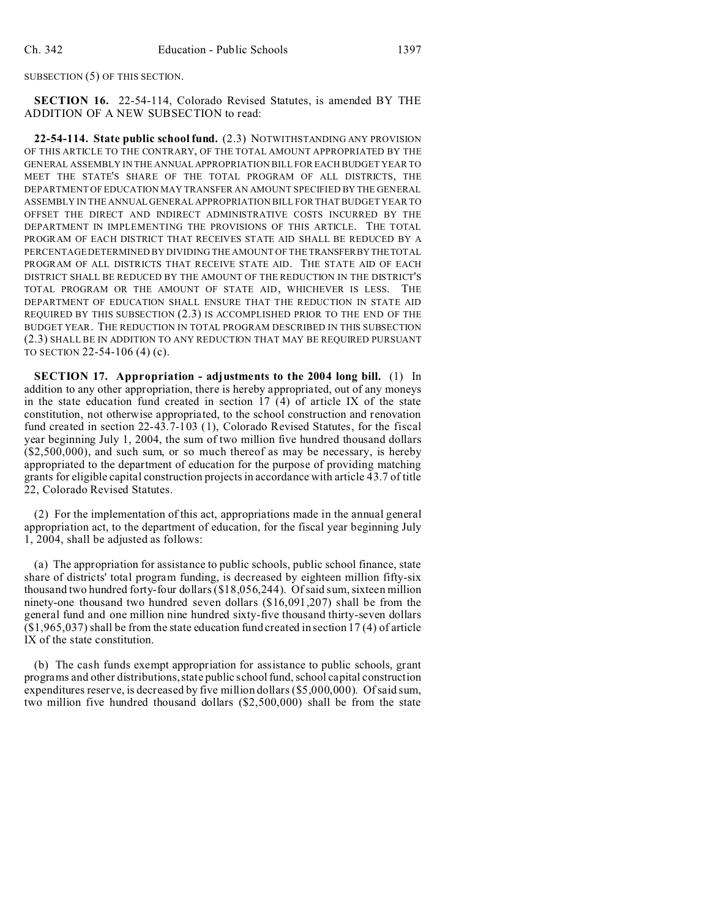SUBSECTION (5) OF THIS SECTION.

**SECTION 16.** 22-54-114, Colorado Revised Statutes, is amended BY THE ADDITION OF A NEW SUBSECTION to read:

**22-54-114. State public school fund.** (2.3) NOTWITHSTANDING ANY PROVISION OF THIS ARTICLE TO THE CONTRARY, OF THE TOTAL AMOUNT APPROPRIATED BY THE GENERAL ASSEMBLY IN THE ANNUAL APPROPRIATION BILL FOR EACH BUDGET YEAR TO MEET THE STATE'S SHARE OF THE TOTAL PROGRAM OF ALL DISTRICTS, THE DEPARTMENT OF EDUCATION MAY TRANSFER AN AMOUNT SPECIFIED BY THE GENERAL ASSEMBLY IN THE ANNUAL GENERAL APPROPRIATION BILL FOR THAT BUDGET YEAR TO OFFSET THE DIRECT AND INDIRECT ADMINISTRATIVE COSTS INCURRED BY THE DEPARTMENT IN IMPLEMENTING THE PROVISIONS OF THIS ARTICLE. THE TOTAL PROGRAM OF EACH DISTRICT THAT RECEIVES STATE AID SHALL BE REDUCED BY A PERCENTAGE DETERMINED BY DIVIDING THE AMOUNT OF THE TRANSFERBY THE TOTAL PROGRAM OF ALL DISTRICTS THAT RECEIVE STATE AID. THE STATE AID OF EACH DISTRICT SHALL BE REDUCED BY THE AMOUNT OF THE REDUCTION IN THE DISTRICT'S TOTAL PROGRAM OR THE AMOUNT OF STATE AID, WHICHEVER IS LESS. THE DEPARTMENT OF EDUCATION SHALL ENSURE THAT THE REDUCTION IN STATE AID REQUIRED BY THIS SUBSECTION (2.3) IS ACCOMPLISHED PRIOR TO THE END OF THE BUDGET YEAR. THE REDUCTION IN TOTAL PROGRAM DESCRIBED IN THIS SUBSECTION (2.3) SHALL BE IN ADDITION TO ANY REDUCTION THAT MAY BE REQUIRED PURSUANT TO SECTION 22-54-106 (4) (c).

**SECTION 17. Appropriation - adjustments to the 2004 long bill.** (1) In addition to any other appropriation, there is hereby appropriated, out of any moneys in the state education fund created in section  $17$  (4) of article IX of the state constitution, not otherwise appropriated, to the school construction and renovation fund created in section 22-43.7-103 (1), Colorado Revised Statutes, for the fiscal year beginning July 1, 2004, the sum of two million five hundred thousand dollars (\$2,500,000), and such sum, or so much thereof as may be necessary, is hereby appropriated to the department of education for the purpose of providing matching grants for eligible capital construction projects in accordance with article 43.7 of title 22, Colorado Revised Statutes.

(2) For the implementation of this act, appropriations made in the annual general appropriation act, to the department of education, for the fiscal year beginning July 1, 2004, shall be adjusted as follows:

(a) The appropriation for assistance to public schools, public school finance, state share of districts' total program funding, is decreased by eighteen million fifty-six thousand two hundred forty-four dollars (\$18,056,244). Of said sum, sixteen million ninety-one thousand two hundred seven dollars (\$16,091,207) shall be from the general fund and one million nine hundred sixty-five thousand thirty-seven dollars (\$1,965,037) shall be from the state education fund created in section 17 (4) of article IX of the state constitution.

(b) The cash funds exempt appropriation for assistance to public schools, grant programs and other distributions, state public school fund, school capital construction expenditures reserve, is decreased by five million dollars (\$5,000,000). Of said sum, two million five hundred thousand dollars (\$2,500,000) shall be from the state